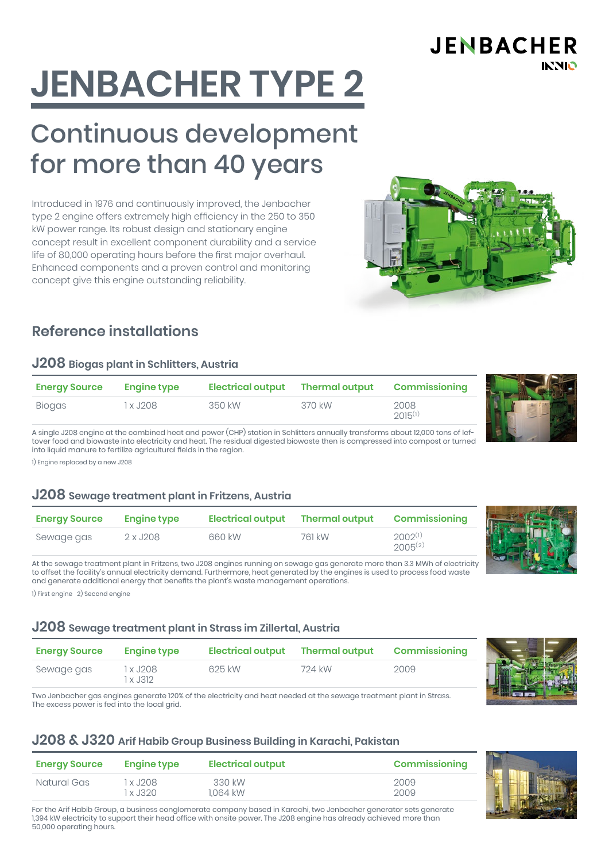**JENBACHER INNIO** 

# **JENBACHER TYPE 2**

# Continuous development for more than 40 years

Introduced in 1976 and continuously improved, the Jenbacher type 2 engine offers extremely high efficiency in the 250 to 350 kW power range. Its robust design and stationary engine concept result in excellent component durability and a service life of 80,000 operating hours before the first major overhaul. Enhanced components and a proven control and monitoring concept give this engine outstanding reliability.



### **Reference installations**

#### **J208 Biogas plant in Schlitters, Austria**

| <b>Energy Source</b> | <b>Engine type</b> | Electrical output Thermal output |        | Commissioning        |
|----------------------|--------------------|----------------------------------|--------|----------------------|
| Biogas               | 1 x J208           | 350 kW                           | 370 kW | 2008<br>$2015^{(1)}$ |

A single J208 engine at the combined heat and power (CHP) station in Schlitters annually transforms about 12,000 tons of leftover food and biowaste into electricity and heat. The residual digested biowaste then is compressed into compost or turned into liquid manure to fertilize agricultural fields in the region.

1) Engine replaced by a new J208

#### **J208 Sewage treatment plant in Fritzens, Austria**

| <b>Energy Source</b> | <b>Engine type</b> | Electrical output | <b>Thermal output</b> | <b>Commissioning</b>         |  |  |
|----------------------|--------------------|-------------------|-----------------------|------------------------------|--|--|
| Sewage gas           | 2 x J208           | 660 kW            | 761 kW                | $2002^{(1)}$<br>$2005^{(2)}$ |  |  |

At the sewage treatment plant in Fritzens, two J208 engines running on sewage gas generate more than 3.3 MWh of electricity to offset the facility's annual electricity demand. Furthermore, heat generated by the engines is used to process food waste and generate additional energy that benefits the plant's waste management operations.

1) First engine 2) Second engine

#### **J208 Sewage treatment plant in Strass im Zillertal, Austria**

| <b>Energy Source</b> | <b>Engine type</b>     | <b>Electrical output</b> | <b>Thermal output</b> | <b>Commissioning</b> |  |
|----------------------|------------------------|--------------------------|-----------------------|----------------------|--|
| Sewage gas           | 1 x J208 .<br>1 x J312 | 625 kW                   | 724 kW                | 2009                 |  |

Two Jenbacher gas engines generate 120% of the electricity and heat needed at the sewage treatment plant in Strass. The excess power is fed into the local grid.

#### **J208 & J320 Arif Habib Group Business Building in Karachi, Pakistan**

| <b>Energy Source</b> | <b>Engine type</b> | <b>Electrical output</b> | <b>Commissioning</b> |
|----------------------|--------------------|--------------------------|----------------------|
| Natural Gas          | 1 x J208 .         | 330 kW                   | 2009                 |
|                      | 1 x J320           | 1.064 kW                 | 2009                 |

For the Arif Habib Group, a business conglomerate company based in Karachi, two Jenbacher generator sets generate 1,394 kW electricity to support their head office with onsite power. The J208 engine has already achieved more than 50,000 operating hours.